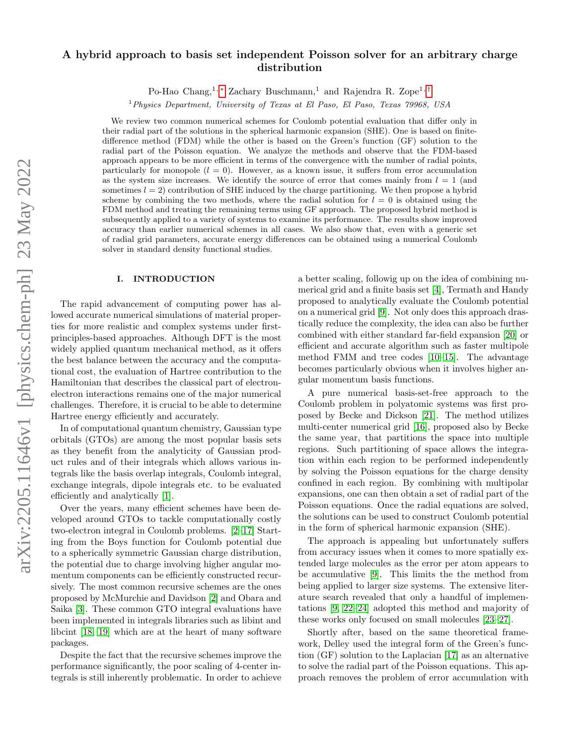# arXiv:2205.11646v1 [physics.chem-ph] 23 May 2022 arXiv:2205.11646v1 [physics.chem-ph] 23 May 2022

# A hybrid approach to basis set independent Poisson solver for an arbitrary charge distribution

Po-Hao Chang,<sup>1, [∗](#page-8-0)</sup> Zachary Buschmann,<sup>1</sup> and Rajendra R. Zope<sup>1,[†](#page-8-1)</sup>

 $1$  Physics Department, University of Texas at El Paso, El Paso, Texas 79968, USA

We review two common numerical schemes for Coulomb potential evaluation that differ only in their radial part of the solutions in the spherical harmonic expansion (SHE). One is based on finitedifference method (FDM) while the other is based on the Green's function (GF) solution to the radial part of the Poisson equation. We analyze the methods and observe that the FDM-based approach appears to be more efficient in terms of the convergence with the number of radial points, particularly for monopole  $(l = 0)$ . However, as a known issue, it suffers from error accumulation as the system size increases. We identify the source of error that comes mainly from  $l = 1$  (and sometimes  $l = 2$ ) contribution of SHE induced by the charge partitioning. We then propose a hybrid scheme by combining the two methods, where the radial solution for  $l = 0$  is obtained using the FDM method and treating the remaining terms using GF approach. The proposed hybrid method is subsequently applied to a variety of systems to examine its performance. The results show improved accuracy than earlier numerical schemes in all cases. We also show that, even with a generic set of radial grid parameters, accurate energy differences can be obtained using a numerical Coulomb solver in standard density functional studies.

# I. INTRODUCTION

The rapid advancement of computing power has allowed accurate numerical simulations of material properties for more realistic and complex systems under firstprinciples-based approaches. Although DFT is the most widely applied quantum mechanical method, as it offers the best balance between the accuracy and the computational cost, the evaluation of Hartree contribution to the Hamiltonian that describes the classical part of electronelectron interactions remains one of the major numerical challenges. Therefore, it is crucial to be able to determine Hartree energy efficiently and accurately.

In of computational quantum chemistry, Gaussian type orbitals (GTOs) are among the most popular basis sets as they benefit from the analyticity of Gaussian product rules and of their integrals which allows various integrals like the basis overlap integrals, Coulomb integral, exchange integrals, dipole integrals etc. to be evaluated efficiently and analytically [\[1\]](#page-8-2).

Over the years, many efficient schemes have been developed around GTOs to tackle computationally costly two-electron integral in Coulomb problems. [\[2–](#page-8-3)[17\]](#page-8-4) Starting from the Boys function for Coulomb potential due to a spherically symmetric Gaussian charge distribution, the potential due to charge involving higher angular momentum components can be efficiently constructed recursively. The most common recursive schemes are the ones proposed by McMurchie and Davidson [\[2\]](#page-8-3) and Obara and Saika [\[3\]](#page-8-5). These common GTO integral evaluations have been implemented in integrals libraries such as libint and libcint [\[18,](#page-8-6) [19\]](#page-9-0) which are at the heart of many software packages.

Despite the fact that the recursive schemes improve the performance significantly, the poor scaling of 4-center integrals is still inherently problematic. In order to achieve a better scaling, followig up on the idea of combining numerical grid and a finite basis set [\[4\]](#page-8-7), Termath and Handy proposed to analytically evaluate the Coulomb potential on a numerical grid [\[9\]](#page-8-8). Not only does this approach drastically reduce the complexity, the idea can also be further combined with either standard far-field expansion [\[20\]](#page-9-1) or efficient and accurate algorithm such as faster multipole method FMM and tree codes [\[10](#page-8-9)[–15\]](#page-8-10). The advantage becomes particularly obvious when it involves higher angular momentum basis functions.

A pure numerical basis-set-free approach to the Coulomb problem in polyatomic systems was first proposed by Becke and Dickson [\[21\]](#page-9-2). The method utilizes multi-center numerical grid [\[16\]](#page-8-11), proposed also by Becke the same year, that partitions the space into multiple regions. Such partitioning of space allows the integration within each region to be performed independently by solving the Poisson equations for the charge density confined in each region. By combining with multipolar expansions, one can then obtain a set of radial part of the Poisson equations. Once the radial equations are solved, the solutions can be used to construct Coulomb potential in the form of spherical harmonic expansion (SHE).

The approach is appealing but unfortunately suffers from accuracy issues when it comes to more spatially extended large molecules as the error per atom appears to be accumulative [\[9\]](#page-8-8). This limits the the method from being applied to larger size systems. The extensive literature search revealed that only a handful of implementations [\[9,](#page-8-8) [22](#page-9-3)[–24\]](#page-9-4) adopted this method and majority of these works only focused on small molecules [\[23–](#page-9-5)[27\]](#page-9-6).

Shortly after, based on the same theoretical framework, Delley used the integral form of the Green's function (GF) solution to the Laplacian [\[17\]](#page-8-4) as an alternative to solve the radial part of the Poisson equations. This approach removes the problem of error accumulation with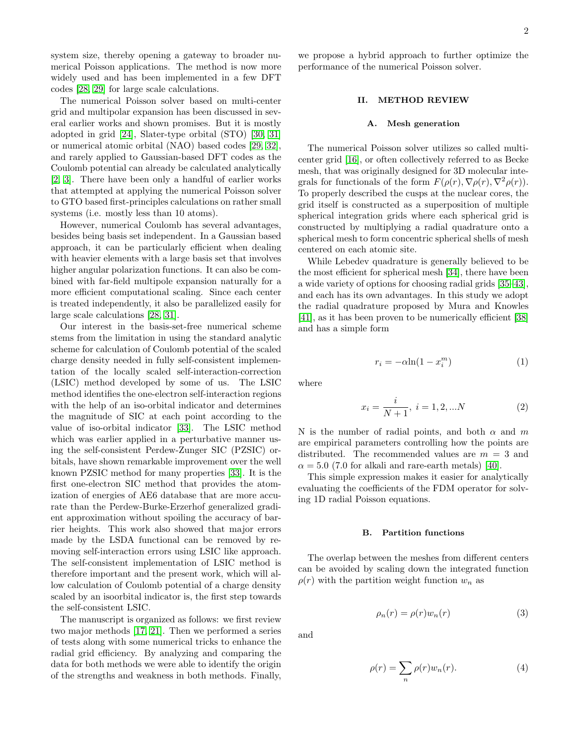system size, thereby opening a gateway to broader numerical Poisson applications. The method is now more widely used and has been implemented in a few DFT codes [\[28,](#page-9-7) [29\]](#page-9-8) for large scale calculations.

The numerical Poisson solver based on multi-center grid and multipolar expansion has been discussed in several earlier works and shown promises. But it is mostly adopted in grid [\[24\]](#page-9-4), Slater-type orbital (STO) [\[30,](#page-9-9) [31\]](#page-9-10) or numerical atomic orbital (NAO) based codes [\[29,](#page-9-8) [32\]](#page-9-11), and rarely applied to Gaussian-based DFT codes as the Coulomb potential can already be calculated analytically [\[2,](#page-8-3) [3\]](#page-8-5). There have been only a handful of earlier works that attempted at applying the numerical Poisson solver to GTO based first-principles calculations on rather small systems (i.e. mostly less than 10 atoms).

However, numerical Coulomb has several advantages, besides being basis set independent. In a Gaussian based approach, it can be particularly efficient when dealing with heavier elements with a large basis set that involves higher angular polarization functions. It can also be combined with far-field multipole expansion naturally for a more efficient computational scaling. Since each center is treated independently, it also be parallelized easily for large scale calculations [\[28,](#page-9-7) [31\]](#page-9-10).

Our interest in the basis-set-free numerical scheme stems from the limitation in using the standard analytic scheme for calculation of Coulomb potential of the scaled charge density needed in fully self-consistent implementation of the locally scaled self-interaction-correction (LSIC) method developed by some of us. The LSIC method identifies the one-electron self-interaction regions with the help of an iso-orbital indicator and determines the magnitude of SIC at each point according to the value of iso-orbital indicator [\[33\]](#page-9-12). The LSIC method which was earlier applied in a perturbative manner using the self-consistent Perdew-Zunger SIC (PZSIC) orbitals, have shown remarkable improvement over the well known PZSIC method for many properties [\[33\]](#page-9-12). It is the first one-electron SIC method that provides the atomization of energies of AE6 database that are more accurate than the Perdew-Burke-Erzerhof generalized gradient approximation without spoiling the accuracy of barrier heights. This work also showed that major errors made by the LSDA functional can be removed by removing self-interaction errors using LSIC like approach. The self-consistent implementation of LSIC method is therefore important and the present work, which will allow calculation of Coulomb potential of a charge density scaled by an isoorbital indicator is, the first step towards the self-consistent LSIC.

The manuscript is organized as follows: we first review two major methods [\[17,](#page-8-4) [21\]](#page-9-2). Then we performed a series of tests along with some numerical tricks to enhance the radial grid efficiency. By analyzing and comparing the data for both methods we were able to identify the origin of the strengths and weakness in both methods. Finally,

we propose a hybrid approach to further optimize the performance of the numerical Poisson solver.

### II. METHOD REVIEW

### A. Mesh generation

The numerical Poisson solver utilizes so called multicenter grid [\[16\]](#page-8-11), or often collectively referred to as Becke mesh, that was originally designed for 3D molecular integrals for functionals of the form  $F(\rho(r), \nabla \rho(r), \nabla^2 \rho(r)).$ To properly described the cusps at the nuclear cores, the grid itself is constructed as a superposition of multiple spherical integration grids where each spherical grid is constructed by multiplying a radial quadrature onto a spherical mesh to form concentric spherical shells of mesh centered on each atomic site.

While Lebedev quadrature is generally believed to be the most efficient for spherical mesh [\[34\]](#page-9-13), there have been a wide variety of options for choosing radial grids [\[35–](#page-9-14)[43\]](#page-9-15), and each has its own advantages. In this study we adopt the radial quadrature proposed by Mura and Knowles [\[41\]](#page-9-16), as it has been proven to be numerically efficient [\[38\]](#page-9-17) and has a simple form

<span id="page-1-1"></span>
$$
r_i = -\alpha \ln(1 - x_i^m) \tag{1}
$$

where

$$
x_i = \frac{i}{N+1}, \ i = 1, 2, \dots N \tag{2}
$$

N is the number of radial points, and both  $\alpha$  and m are empirical parameters controlling how the points are distributed. The recommended values are  $m = 3$  and  $\alpha = 5.0$  (7.0 for alkali and rare-earth metals) [\[40\]](#page-9-18).

This simple expression makes it easier for analytically evaluating the coefficients of the FDM operator for solving 1D radial Poisson equations.

### B. Partition functions

The overlap between the meshes from different centers can be avoided by scaling down the integrated function  $\rho(r)$  with the partition weight function  $w_n$  as

<span id="page-1-0"></span>
$$
\rho_n(r) = \rho(r) w_n(r) \tag{3}
$$

and

$$
\rho(r) = \sum_{n} \rho(r) w_n(r). \tag{4}
$$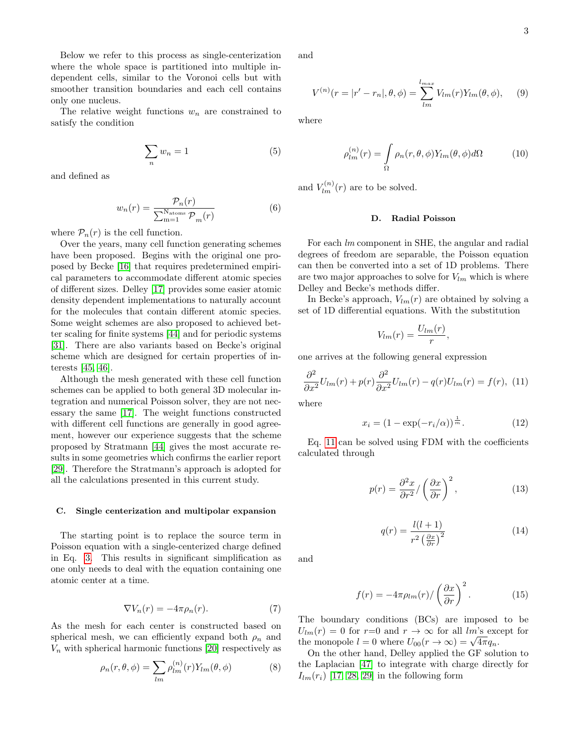Below we refer to this process as single-centerization where the whole space is partitioned into multiple independent cells, similar to the Voronoi cells but with smoother transition boundaries and each cell contains only one nucleus.

The relative weight functions  $w_n$  are constrained to satisfy the condition

$$
\sum_{n} w_n = 1 \tag{5}
$$

and defined as

$$
w_n(r) = \frac{\mathcal{P}_n(r)}{\sum_{m=1}^{N_{\text{atoms}}} \mathcal{P}_m(r)}
$$
(6)

where  $\mathcal{P}_n(r)$  is the cell function.

Over the years, many cell function generating schemes have been proposed. Begins with the original one proposed by Becke [\[16\]](#page-8-11) that requires predetermined empirical parameters to accommodate different atomic species of different sizes. Delley [\[17\]](#page-8-4) provides some easier atomic density dependent implementations to naturally account for the molecules that contain different atomic species. Some weight schemes are also proposed to achieved better scaling for finite systems [\[44\]](#page-9-19) and for periodic systems [\[31\]](#page-9-10). There are also variants based on Becke's original scheme which are designed for certain properties of interests [\[45,](#page-9-20) [46\]](#page-9-21).

Although the mesh generated with these cell function schemes can be applied to both general 3D molecular integration and numerical Poisson solver, they are not necessary the same [\[17\]](#page-8-4). The weight functions constructed with different cell functions are generally in good agreement, however our experience suggests that the scheme proposed by Stratmann [\[44\]](#page-9-19) gives the most accurate results in some geometries which confirms the earlier report [\[29\]](#page-9-8). Therefore the Stratmann's approach is adopted for all the calculations presented in this current study.

### C. Single centerization and multipolar expansion

The starting point is to replace the source term in Poisson equation with a single-centerized charge defined in Eq. [3.](#page-1-0) This results in significant simplification as one only needs to deal with the equation containing one atomic center at a time.

$$
\nabla V_n(r) = -4\pi \rho_n(r). \tag{7}
$$

As the mesh for each center is constructed based on spherical mesh, we can efficiently expand both  $\rho_n$  and  $V_n$  with spherical harmonic functions [\[20\]](#page-9-1) respectively as

$$
\rho_n(r,\theta,\phi) = \sum_{lm} \rho_{lm}^{(n)}(r) Y_{lm}(\theta,\phi)
$$
\n(8)

and

<span id="page-2-1"></span>
$$
V^{(n)}(r = |r' - r_n|, \theta, \phi) = \sum_{lm}^{l_{max}} V_{lm}(r) Y_{lm}(\theta, \phi), \quad (9)
$$

where

$$
\rho_{lm}^{(n)}(r) = \int_{\Omega} \rho_n(r,\theta,\phi) Y_{lm}(\theta,\phi) d\Omega \tag{10}
$$

and  $V_{lm}^{(n)}(r)$  are to be solved.

# D. Radial Poisson

For each lm component in SHE, the angular and radial degrees of freedom are separable, the Poisson equation can then be converted into a set of 1D problems. There are two major approaches to solve for  $V_{lm}$  which is where Delley and Becke's methods differ.

In Becke's approach,  $V_{lm}(r)$  are obtained by solving a set of 1D differential equations. With the substitution

$$
V_{lm}(r) = \frac{U_{lm}(r)}{r},
$$

one arrives at the following general expression

<span id="page-2-0"></span>
$$
\frac{\partial^2}{\partial x^2}U_{lm}(r) + p(r)\frac{\partial^2}{\partial x^2}U_{lm}(r) - q(r)U_{lm}(r) = f(r), \tag{11}
$$

where

$$
x_i = (1 - \exp(-r_i/\alpha))^{\frac{1}{m}}.
$$
 (12)

Eq. [11](#page-2-0) can be solved using FDM with the coefficients calculated through

$$
p(r) = \frac{\partial^2 x}{\partial r^2} / \left(\frac{\partial x}{\partial r}\right)^2, \tag{13}
$$

$$
q(r) = \frac{l(l+1)}{r^2 \left(\frac{\partial x}{\partial r}\right)^2} \tag{14}
$$

and

$$
f(r) = -4\pi\rho_{lm}(r) / \left(\frac{\partial x}{\partial r}\right)^2.
$$
 (15)

The boundary conditions (BCs) are imposed to be  $U_{lm}(r) = 0$  for  $r=0$  and  $r \to \infty$  for all lm's except for the monopole  $l = 0$  where  $U_{00}(r \to \infty) = \sqrt{4\pi} q_n$ .

On the other hand, Delley applied the GF solution to the Laplacian [\[47\]](#page-9-22) to integrate with charge directly for  $I_{lm}(r_i)$  [\[17,](#page-8-4) [28,](#page-9-7) [29\]](#page-9-8) in the following form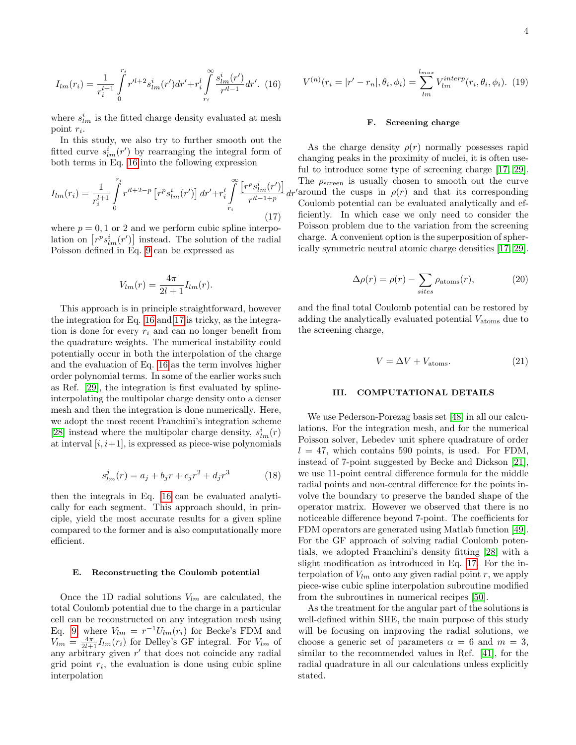<span id="page-3-0"></span>
$$
I_{lm}(r_i) = \frac{1}{r_i^{l+1}} \int_0^{r_i} r'^{l+2} s_{lm}^i(r') dr' + r_i^l \int_{r_i}^{\infty} \frac{s_{lm}^i(r')}{r'^{l-1}} dr'. (16)
$$

where  $\boldsymbol{s}_{lm}^i$  is the fitted charge density evaluated at mesh point  $r_i$ .

In this study, we also try to further smooth out the fitted curve  $s_{lm}^i(r')$  by rearranging the integral form of both terms in Eq. [16](#page-3-0) into the following expression

<span id="page-3-1"></span>
$$
I_{lm}(r_i) = \frac{1}{r_i^{l+1}} \int_0^{r_i} r'^{l+2-p} \left[ r^p s_{lm}^i(r') \right] dr' + r_i^l \int_{r_i}^{\infty} \frac{\left[ r^p s_{lm}^i(r') \right]}{r'^{l-1+p}} dt
$$
\n(17)

where  $p = 0, 1$  or 2 and we perform cubic spline interpolation on  $[r^p s_{lm}^i(r')]$  instead. The solution of the radial Poisson defined in Eq. [9](#page-2-1) can be expressed as

$$
V_{lm}(r) = \frac{4\pi}{2l+1}I_{lm}(r).
$$

This approach is in principle straightforward, however the integration for Eq. [16](#page-3-0) and [17](#page-3-1) is tricky, as the integration is done for every  $r_i$  and can no longer benefit from the quadrature weights. The numerical instability could potentially occur in both the interpolation of the charge and the evaluation of Eq. [16](#page-3-0) as the term involves higher order polynomial terms. In some of the earlier works such as Ref. [\[29\]](#page-9-8), the integration is first evaluated by splineinterpolating the multipolar charge density onto a denser mesh and then the integration is done numerically. Here, we adopt the most recent Franchini's integration scheme [\[28\]](#page-9-7) instead where the multipolar charge density,  $s_{lm}^i(\boldsymbol{r})$ at interval  $[i, i+1]$ , is expressed as piece-wise polynomials

$$
s_{lm}^j(r) = a_j + b_jr + c_jr^2 + d_jr^3
$$
 (18)

then the integrals in Eq. [16](#page-3-0) can be evaluated analytically for each segment. This approach should, in principle, yield the most accurate results for a given spline compared to the former and is also computationally more efficient.

## E. Reconstructing the Coulomb potential

Once the 1D radial solutions  $V_{lm}$  are calculated, the total Coulomb potential due to the charge in a particular cell can be reconstructed on any integration mesh using Eq. [9,](#page-2-1) where  $V_{lm} = r^{-1}U_{lm}(r_i)$  for Becke's FDM and  $V_{lm} = \frac{4\pi}{2l+1} I_{lm}(r_i)$  for Delley's GF integral. For  $V_{lm}$  of any arbitrary given  $r'$  that does not coincide any radial grid point  $r_i$ , the evaluation is done using cubic spline interpolation

$$
V^{(n)}(r_i = |r' - r_n|, \theta_i, \phi_i) = \sum_{lm}^{l_{max}} V_{lm}^{interp}(r_i, \theta_i, \phi_i).
$$
 (19)

## F. Screening charge

 $dr'$  around the cusps in  $\rho(r)$  and that its corresponding As the charge density  $\rho(r)$  normally possesses rapid changing peaks in the proximity of nuclei, it is often useful to introduce some type of screening charge [\[17,](#page-8-4) [29\]](#page-9-8). The  $\rho_{\rm screen}$  is usually chosen to smooth out the curve Coulomb potential can be evaluated analytically and efficiently. In which case we only need to consider the Poisson problem due to the variation from the screening charge. A convenient option is the superposition of spherically symmetric neutral atomic charge densities [\[17,](#page-8-4) [29\]](#page-9-8).

$$
\Delta \rho(r) = \rho(r) - \sum_{sites} \rho_{\text{atoms}}(r),\tag{20}
$$

and the final total Coulomb potential can be restored by adding the analytically evaluated potential  $V_{\text{atoms}}$  due to the screening charge,

$$
V = \Delta V + V_{\text{atoms}}.\tag{21}
$$

# III. COMPUTATIONAL DETAILS

We use Pederson-Porezag basis set [\[48\]](#page-9-23) in all our calculations. For the integration mesh, and for the numerical Poisson solver, Lebedev unit sphere quadrature of order  $l = 47$ , which contains 590 points, is used. For FDM, instead of 7-point suggested by Becke and Dickson [\[21\]](#page-9-2), we use 11-point central difference formula for the middle radial points and non-central difference for the points involve the boundary to preserve the banded shape of the operator matrix. However we observed that there is no noticeable difference beyond 7-point. The coefficients for FDM operators are generated using Matlab function [\[49\]](#page-9-24). For the GF approach of solving radial Coulomb potentials, we adopted Franchini's density fitting [\[28\]](#page-9-7) with a slight modification as introduced in Eq. [17.](#page-3-1) For the interpolation of  $V_{lm}$  onto any given radial point r, we apply piece-wise cubic spline interpolation subroutine modified from the subroutines in numerical recipes [\[50\]](#page-9-25).

As the treatment for the angular part of the solutions is well-defined within SHE, the main purpose of this study will be focusing on improving the radial solutions, we choose a generic set of parameters  $\alpha = 6$  and  $m = 3$ , similar to the recommended values in Ref. [\[41\]](#page-9-16), for the radial quadrature in all our calculations unless explicitly stated.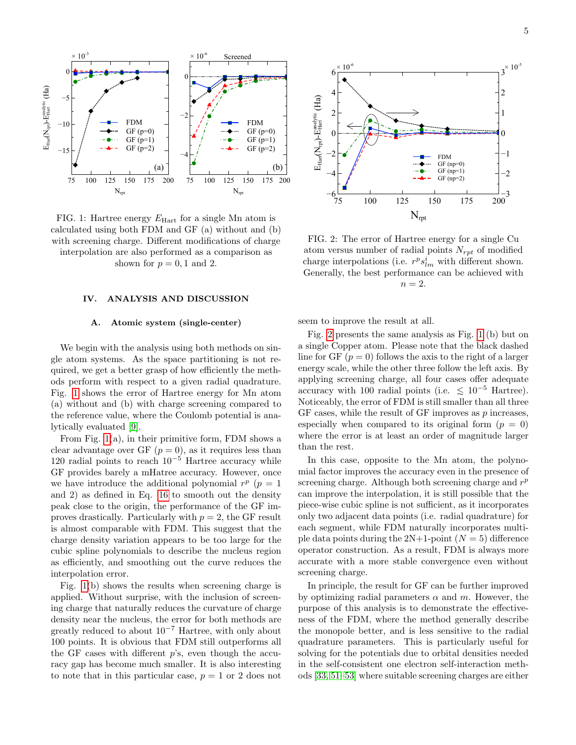<span id="page-4-0"></span>

FIG. 1: Hartree energy  $E_{\text{Hart}}$  for a single Mn atom is calculated using both FDM and GF (a) without and (b) with screening charge. Different modifications of charge interpolation are also performed as a comparison as shown for  $p = 0, 1$  and 2.

# IV. ANALYSIS AND DISCUSSION

# A. Atomic system (single-center)

We begin with the analysis using both methods on single atom systems. As the space partitioning is not required, we get a better grasp of how efficiently the methods perform with respect to a given radial quadrature. Fig. [1](#page-4-0) shows the error of Hartree energy for Mn atom (a) without and (b) with charge screening compared to the reference value, where the Coulomb potential is analytically evaluated [\[9\]](#page-8-8).

From Fig. [1\(](#page-4-0)a), in their primitive form, FDM shows a clear advantage over GF  $(p = 0)$ , as it requires less than 120 radial points to reach  $10^{-5}$  Hartree accuracy while GF provides barely a mHatree accuracy. However, once we have introduce the additional polynomial  $r^p$  ( $p = 1$ ) and 2) as defined in Eq. [16](#page-3-0) to smooth out the density peak close to the origin, the performance of the GF improves drastically. Particularly with  $p = 2$ , the GF result is almost comparable with FDM. This suggest that the charge density variation appears to be too large for the cubic spline polynomials to describe the nucleus region as efficiently, and smoothing out the curve reduces the interpolation error.

Fig. [1\(](#page-4-0)b) shows the results when screening charge is applied. Without surprise, with the inclusion of screening charge that naturally reduces the curvature of charge density near the nucleus, the error for both methods are greatly reduced to about  $10^{-7}$  Hartree, with only about 100 points. It is obvious that FDM still outperforms all the GF cases with different  $p$ 's, even though the accuracy gap has become much smaller. It is also interesting to note that in this particular case,  $p = 1$  or 2 does not

<span id="page-4-1"></span>

FIG. 2: The error of Hartree energy for a single Cu atom versus number of radial points  $N_{rpt}$  of modified charge interpolations (i.e.  $r^p s_{lm}^i$  with different shown. Generally, the best performance can be achieved with  $n = 2$ .

seem to improve the result at all.

Fig. [2](#page-4-1) presents the same analysis as Fig. [1](#page-4-0) (b) but on a single Copper atom. Please note that the black dashed line for GF  $(p = 0)$  follows the axis to the right of a larger energy scale, while the other three follow the left axis. By applying screening charge, all four cases offer adequate accuracy with 100 radial points (i.e.  $\leq 10^{-5}$  Hartree). Noticeably, the error of FDM is still smaller than all three GF cases, while the result of GF improves as  $p$  increases, especially when compared to its original form  $(p = 0)$ where the error is at least an order of magnitude larger than the rest.

In this case, opposite to the Mn atom, the polynomial factor improves the accuracy even in the presence of screening charge. Although both screening charge and  $r<sup>p</sup>$ can improve the interpolation, it is still possible that the piece-wise cubic spline is not sufficient, as it incorporates only two adjacent data points (i.e. radial quadrature) for each segment, while FDM naturally incorporates multiple data points during the  $2N+1$ -point  $(N = 5)$  difference operator construction. As a result, FDM is always more accurate with a more stable convergence even without screening charge.

In principle, the result for GF can be further improved by optimizing radial parameters  $\alpha$  and  $m$ . However, the purpose of this analysis is to demonstrate the effectiveness of the FDM, where the method generally describe the monopole better, and is less sensitive to the radial quadrature parameters. This is particularly useful for solving for the potentials due to orbital densities needed in the self-consistent one electron self-interaction methods [\[33,](#page-9-12) [51–](#page-9-26)[53\]](#page-9-27) where suitable screening charges are either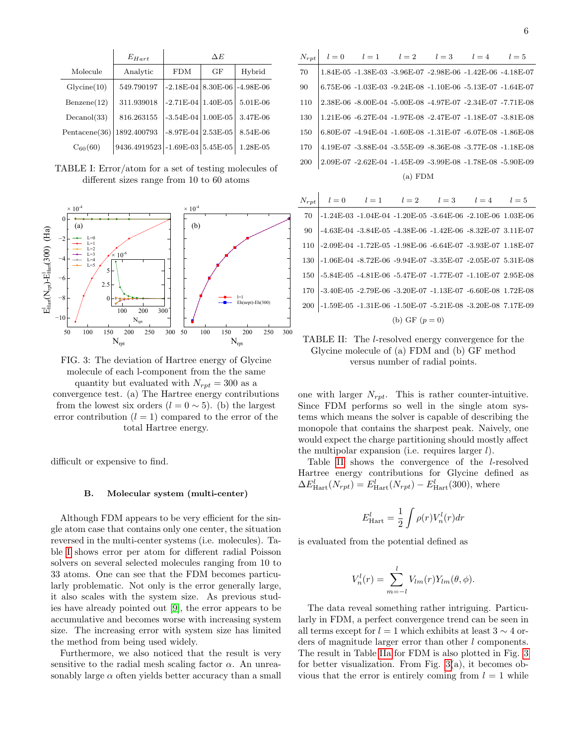|   | ٦<br>٠<br>I   |   |  |
|---|---------------|---|--|
| v |               |   |  |
| × | ۰.<br>۰.<br>٧ | I |  |

<span id="page-5-0"></span>

|               | $E_{Hart}$                       | ΑE                       |    |             |
|---------------|----------------------------------|--------------------------|----|-------------|
| Molecule      | Analytic                         | <b>FDM</b>               | GF | Hybrid      |
| Glycine(10)   | 549.790197                       | $-2.18E - 04$   8.30E-06 |    | $-4.98E-06$ |
| Benzene(12)   | 311.939018                       | $-2.71E-04$   $1.40E-05$ |    | 5.01E-06    |
| Decanol(33)   | 816.263155                       | $-3.54E-04$   $1.00E-05$ |    | 3.47E-06    |
| Pentacene(36) | 1892.400793                      | $-8.97E-04$ 2.53E-05     |    | 8.54E-06    |
| $C_{60}(60)$  | 9436.4919523 - 1.69E-03 5.45E-05 |                          |    | 1.28E-05    |

TABLE I: Error/atom for a set of testing molecules of different sizes range from 10 to 60 atoms

<span id="page-5-3"></span>

FIG. 3: The deviation of Hartree energy of Glycine molecule of each l-component from the the same quantity but evaluated with  $N_{rpt} = 300$  as a convergence test. (a) The Hartree energy contributions from the lowest six orders  $(l = 0 \sim 5)$ . (b) the largest error contribution  $(l = 1)$  compared to the error of the total Hartree energy.

difficult or expensive to find.

### B. Molecular system (multi-center)

Although FDM appears to be very efficient for the single atom case that contains only one center, the situation reversed in the multi-center systems (i.e. molecules). Table [I](#page-5-0) shows error per atom for different radial Poisson solvers on several selected molecules ranging from 10 to 33 atoms. One can see that the FDM becomes particularly problematic. Not only is the error generally large, it also scales with the system size. As previous studies have already pointed out [\[9\]](#page-8-8), the error appears to be accumulative and becomes worse with increasing system size. The increasing error with system size has limited the method from being used widely.

Furthermore, we also noticed that the result is very sensitive to the radial mesh scaling factor  $\alpha$ . An unreasonably large  $\alpha$  often yields better accuracy than a small

<span id="page-5-2"></span><span id="page-5-1"></span>

| $N_{rpt}$ |  |  |  | $l = 0$ $l = 1$ $l = 2$ $l = 3$ $l = 4$ $l = 5$ |  |                                                                        |
|-----------|--|--|--|-------------------------------------------------|--|------------------------------------------------------------------------|
| 70        |  |  |  |                                                 |  | $1.84E-05$ $-1.38E-03$ $-3.96E-07$ $-2.98E-06$ $-1.42E-06$ $-4.18E-07$ |
| 90        |  |  |  |                                                 |  | 6.75E-06 -1.03E-03 -9.24E-08 -1.10E-06 -5.13E-07 -1.64E-07             |
| 110       |  |  |  |                                                 |  | 2.38E-06 -8.00E-04 -5.00E-08 -4.97E-07 -2.34E-07 -7.71E-08             |
| 130       |  |  |  |                                                 |  | 1.21E-06 -6.27E-04 -1.97E-08 -2.47E-07 -1.18E-07 -3.81E-08             |
| 150       |  |  |  |                                                 |  | $6.80E-07 -4.94E-04 -1.60E-08 -1.31E-07 -6.07E-08 -1.86E-08$           |
| 170       |  |  |  |                                                 |  | 4.19E-07 -3.88E-04 -3.55E-09 -8.36E-08 -3.77E-08 -1.18E-08             |
| 200       |  |  |  |                                                 |  | 2.09E-07 -2.62E-04 -1.45E-09 -3.99E-08 -1.78E-08 -5.90E-09             |
| $(a)$ FDM |  |  |  |                                                 |  |                                                                        |

 $\overline{1}$ 

|       | $N_{rpt}$ $l = 0$ $l = 1$ $l = 2$ $l = 3$ $l = 4$ $l = 5$       |                  |                                                            |  |
|-------|-----------------------------------------------------------------|------------------|------------------------------------------------------------|--|
| 70    | -1.24E-03 -1.04E-04 -1.20E-05 -3.64E-06 -2.10E-06 1.03E-06      |                  |                                                            |  |
| 90    |                                                                 |                  | -4.63E-04 -3.84E-05 -4.38E-06 -1.42E-06 -8.32E-07 3.11E-07 |  |
| 110   | -2.09E-04 -1.72E-05 -1.98E-06 -6.64E-07 -3.93E-07 1.18E-07      |                  |                                                            |  |
|       | 130 -1.06E-04 -8.72E-06 -9.94E-07 -3.35E-07 -2.05E-07 5.31E-08  |                  |                                                            |  |
| 150 l | -5.84E-05 -4.81E-06 -5.47E-07 -1.77E-07 -1.10E-07 2.95E-08      |                  |                                                            |  |
| 170   | -3.40E-05 -2.79E-06 -3.20E-07 -1.13E-07 -6.60E-08 1.72E-08      |                  |                                                            |  |
|       | 200  -1.59E-05 -1.31E-06 -1.50E-07 -5.21E-08 -3.20E-08 7.17E-09 |                  |                                                            |  |
|       |                                                                 | (b) GF $(p = 0)$ |                                                            |  |

TABLE II: The l-resolved energy convergence for the Glycine molecule of (a) FDM and (b) GF method versus number of radial points.

one with larger  $N_{rpt}$ . This is rather counter-intuitive. Since FDM performs so well in the single atom systems which means the solver is capable of describing the monopole that contains the sharpest peak. Naively, one would expect the charge partitioning should mostly affect the multipolar expansion (i.e. requires larger  $l$ ).

Table [II](#page-5-1) shows the convergence of the l-resolved Hartree energy contributions for Glycine defined as  $\Delta E_{\text{Hart}}^l(N_{rpt}) = E_{\text{Hart}}^l(N_{rpt}) - E_{\text{Hart}}^l(300)$ , where

$$
E^l_\text{Hart} = \frac{1}{2} \int \rho(r) V^l_n(r) dr
$$

is evaluated from the potential defined as

$$
V_n^l(r) = \sum_{m=-l}^l V_{lm}(r)Y_{lm}(\theta,\phi).
$$

The data reveal something rather intriguing. Particularly in FDM, a perfect convergence trend can be seen in all terms except for  $l = 1$  which exhibits at least 3  $\sim$  4 orders of magnitude larger error than other l components. The result in Table [IIa](#page-5-2) for FDM is also plotted in Fig. [3](#page-5-3) for better visualization. From Fig. [3\(](#page-5-3)a), it becomes obvious that the error is entirely coming from  $l = 1$  while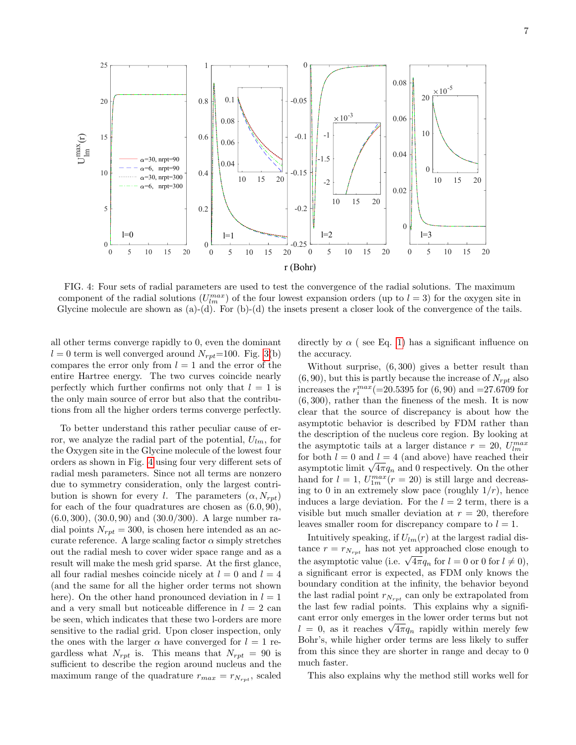<span id="page-6-0"></span>

FIG. 4: Four sets of radial parameters are used to test the convergence of the radial solutions. The maximum component of the radial solutions  $(U_{lm}^{max})$  of the four lowest expansion orders (up to  $l = 3$ ) for the oxygen site in Glycine molecule are shown as  $(a)-(d)$ . For  $(b)-(d)$  the insets present a closer look of the convergence of the tails.

all other terms converge rapidly to 0, even the dominant  $l = 0$  term is well converged around  $N_{rot}$ =100. Fig. [3\(](#page-5-3)b) compares the error only from  $l = 1$  and the error of the entire Hartree energy. The two curves coincide nearly perfectly which further confirms not only that  $l = 1$  is the only main source of error but also that the contributions from all the higher orders terms converge perfectly.

To better understand this rather peculiar cause of error, we analyze the radial part of the potential,  $U_{lm}$ , for the Oxygen site in the Glycine molecule of the lowest four orders as shown in Fig. [4](#page-6-0) using four very different sets of radial mesh parameters. Since not all terms are nonzero due to symmetry consideration, only the largest contribution is shown for every l. The parameters  $(\alpha, N_{rot})$ for each of the four quadratures are chosen as  $(6.0, 90)$ , (6.0, 300), (30.0, 90) and (30.0/300). A large number radial points  $N_{rpt} = 300$ , is chosen here intended as an accurate reference. A large scaling factor  $\alpha$  simply stretches out the radial mesh to cover wider space range and as a result will make the mesh grid sparse. At the first glance, all four radial meshes coincide nicely at  $l = 0$  and  $l = 4$ (and the same for all the higher order terms not shown here). On the other hand pronounced deviation in  $l = 1$ and a very small but noticeable difference in  $l = 2$  can be seen, which indicates that these two l-orders are more sensitive to the radial grid. Upon closer inspection, only the ones with the larger  $\alpha$  have converged for  $l = 1$  regardless what  $N_{rpt}$  is. This means that  $N_{rpt} = 90$  is sufficient to describe the region around nucleus and the maximum range of the quadrature  $r_{max} = r_{N_{rnt}}$ , scaled

directly by  $\alpha$  (see Eq. [1\)](#page-1-1) has a significant influence on the accuracy.

Without surprise, (6, 300) gives a better result than  $(6, 90)$ , but this is partly because the increase of  $N_{rnt}$  also increases the  $r_i^{max} (=20.5395$  for  $(6, 90)$  and  $=27.6709$  for (6, 300), rather than the fineness of the mesh. It is now clear that the source of discrepancy is about how the asymptotic behavior is described by FDM rather than the description of the nucleus core region. By looking at the asymptotic tails at a larger distance  $r = 20$ ,  $U_{lm}^{max}$ for both  $l = 0$  and  $l = 4$  (and above) have reached their asymptotic limit  $\sqrt{4\pi}q_n$  and 0 respectively. On the other hand for  $l = 1$ ,  $U_{1m}^{max}(r = 20)$  is still large and decreasing to 0 in an extremely slow pace (roughly  $1/r$ ), hence induces a large deviation. For the  $l = 2$  term, there is a visible but much smaller deviation at  $r = 20$ , therefore leaves smaller room for discrepancy compare to  $l = 1$ .

Intuitively speaking, if  $U_{lm}(r)$  at the largest radial distance  $r = r_{N_{rnt}}$  has not yet approached close enough to the asymptotic value (i.e.  $\sqrt{4\pi}q_n$  for  $l = 0$  or 0 for  $l \neq 0$ ), a significant error is expected, as FDM only knows the boundary condition at the infinity, the behavior beyond the last radial point  $r_{N_{rot}}$  can only be extrapolated from the last few radial points. This explains why a significant error only emerges in the lower order terms but not  $l = 0$ , as it reaches  $\sqrt{4\pi}q_n$  rapidly within merely few Bohr's, while higher order terms are less likely to suffer from this since they are shorter in range and decay to 0 much faster.

This also explains why the method still works well for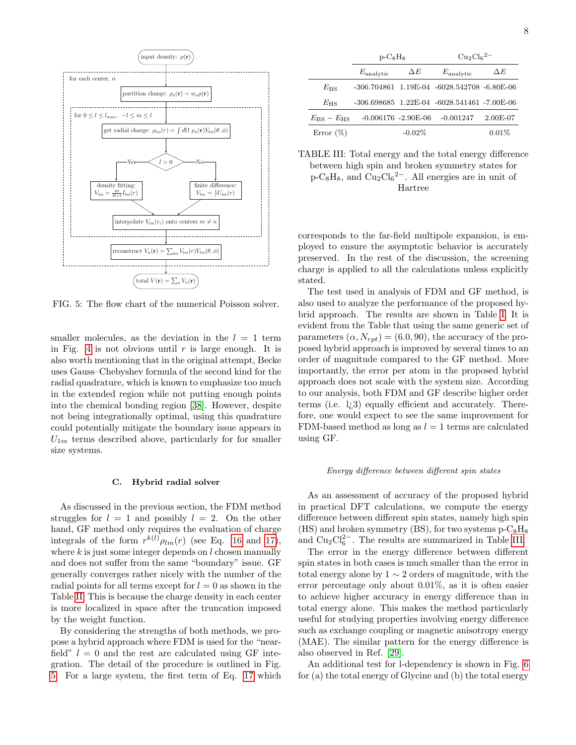8

<span id="page-7-0"></span>

FIG. 5: The flow chart of the numerical Poisson solver.

smaller molecules, as the deviation in the  $l = 1$  term in Fig. [4](#page-6-0) is not obvious until  $r$  is large enough. It is also worth mentioning that in the original attempt, Becke uses Gauss–Chebyshev formula of the second kind for the radial quadrature, which is known to emphasize too much in the extended region while not putting enough points into the chemical bonding region [\[38\]](#page-9-17). However, despite not being integrationally optimal, using this quadrature could potentially mitigate the boundary issue appears in  $U_{1m}$  terms described above, particularly for for smaller size systems.

### C. Hybrid radial solver

As discussed in the previous section, the FDM method struggles for  $l = 1$  and possibly  $l = 2$ . On the other hand, GF method only requires the evaluation of charge integrals of the form  $r^{k(l)} \rho_{lm}(r)$  (see Eq. [16](#page-3-0) and [17\)](#page-3-1), where  $k$  is just some integer depends on  $l$  chosen manually and does not suffer from the same "boundary" issue. GF generally converges rather nicely with the number of the radial points for all terms except for  $l = 0$  as shown in the Table [II.](#page-5-1) This is because the charge density in each center is more localized in space after the truncation imposed by the weight function.

By considering the strengths of both methods, we propose a hybrid approach where FDM is used for the "nearfield"  $l = 0$  and the rest are calculated using GF integration. The detail of the procedure is outlined in Fig. [5.](#page-7-0) For a large system, the first term of Eq. [17](#page-3-1) which

<span id="page-7-1"></span>

|                           | $p-C_8H_8$               |            | $\text{Cu}_2\text{Cl}_6{}^{2-}$                     |            |  |
|---------------------------|--------------------------|------------|-----------------------------------------------------|------------|--|
|                           | $E_{\rm analytic}$       | $\Delta E$ | $E_{\rm analytic}$                                  | $\Delta E$ |  |
| $E_{\rm BS}$              |                          |            | $-306.704861$ $1.19E-04$ $-6028.542708$ $-6.80E-06$ |            |  |
| $E_{\rm HS}$              |                          |            | $-306.698685$ $1.22E-04$ $-6028.541461$ $-7.00E-06$ |            |  |
| $E_{\rm BS} - E_{\rm HS}$ | $-0.006176 - 2.90E - 06$ |            | $-0.001247$                                         | $2.00E-07$ |  |
| Error $(\%)$              |                          | $-0.02%$   |                                                     | 0.01%      |  |

TABLE III: Total energy and the total energy difference between high spin and broken symmetry states for  $p-C_8H_8$ , and  $Cu_2Cl_6^2$ . All energies are in unit of Hartree

corresponds to the far-field multipole expansion, is employed to ensure the asymptotic behavior is accurately preserved. In the rest of the discussion, the screening charge is applied to all the calculations unless explicitly stated.

The test used in analysis of FDM and GF method, is also used to analyze the performance of the proposed hybrid approach. The results are shown in Table [I.](#page-5-0) It is evident from the Table that using the same generic set of parameters  $(\alpha, N_{rot}) = (6.0, 90)$ , the accuracy of the proposed hybrid approach is improved by several times to an order of magnitude compared to the GF method. More importantly, the error per atom in the proposed hybrid approach does not scale with the system size. According to our analysis, both FDM and GF describe higher order terms (i.e. l¿3) equally efficient and accurately. Therefore, one would expect to see the same improvement for FDM-based method as long as  $l = 1$  terms are calculated using GF.

### Energy difference between different spin states

As an assessment of accuracy of the proposed hybrid in practical DFT calculations, we compute the energy difference between different spin states, namely high spin (HS) and broken symmetry (BS), for two systems  $p-C_8H_8$ and  $Cu<sub>2</sub>Cl<sub>6</sub><sup>2</sup>$ . The results are summarized in Table [III.](#page-7-1)

The error in the energy difference between different spin states in both cases is much smaller than the error in total energy alone by 1 ∼ 2 orders of magnitude, with the error percentage only about 0.01%, as it is often easier to achieve higher accuracy in energy difference than in total energy alone. This makes the method particularly useful for studying properties involving energy difference such as exchange coupling or magnetic anisotropy energy (MAE). The similar pattern for the energy difference is also observed in Ref. [\[29\]](#page-9-8).

An additional test for l-dependency is shown in Fig. [6](#page-8-12) for (a) the total energy of Glycine and (b) the total energy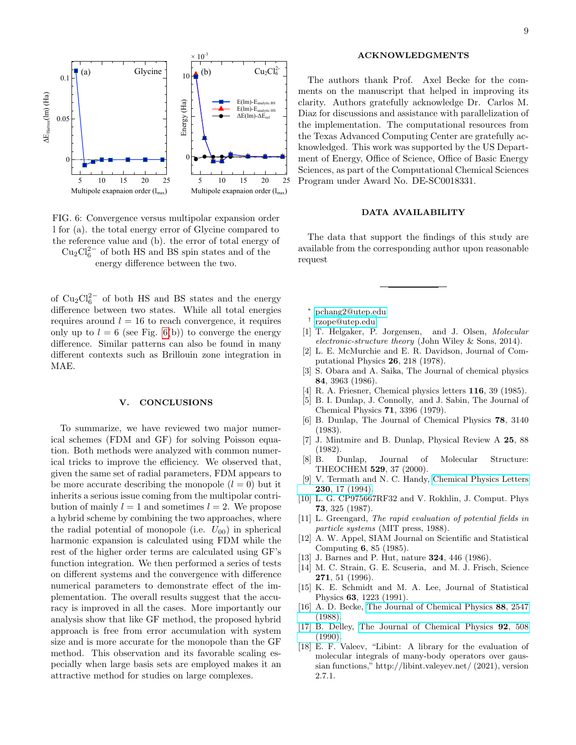<span id="page-8-12"></span>

FIG. 6: Convergence versus multipolar expansion order l for (a). the total energy error of Glycine compared to the reference value and (b). the error of total energy of  $Cu<sub>2</sub>Cl<sub>6</sub><sup>2-</sup>$  of both HS and BS spin states and of the energy difference between the two.

of  $Cu<sub>2</sub>Cl<sub>6</sub><sup>2-</sup>$  of both HS and BS states and the energy difference between two states. While all total energies requires around  $l = 16$  to reach convergence, it requires only up to  $l = 6$  (see Fig. [6\(](#page-8-12)b)) to converge the energy difference. Similar patterns can also be found in many different contexts such as Brillouin zone integration in MAE.

# V. CONCLUSIONS

To summarize, we have reviewed two major numerical schemes (FDM and GF) for solving Poisson equation. Both methods were analyzed with common numerical tricks to improve the efficiency. We observed that, given the same set of radial parameters, FDM appears to be more accurate describing the monopole  $(l = 0)$  but it inherits a serious issue coming from the multipolar contribution of mainly  $l = 1$  and sometimes  $l = 2$ . We propose a hybrid scheme by combining the two approaches, where the radial potential of monopole (i.e.  $U_{00}$ ) in spherical harmonic expansion is calculated using FDM while the rest of the higher order terms are calculated using GF's function integration. We then performed a series of tests on different systems and the convergence with difference numerical parameters to demonstrate effect of the implementation. The overall results suggest that the accuracy is improved in all the cases. More importantly our analysis show that like GF method, the proposed hybrid approach is free from error accumulation with system size and is more accurate for the monopole than the GF method. This observation and its favorable scaling especially when large basis sets are employed makes it an attractive method for studies on large complexes.

# ACKNOWLEDGMENTS

The authors thank Prof. Axel Becke for the comments on the manuscript that helped in improving its clarity. Authors gratefully acknowledge Dr. Carlos M. Diaz for discussions and assistance with parallelization of the implementation. The computational resources from the Texas Advanced Computing Center are gratefully acknowledged. This work was supported by the US Department of Energy, Office of Science, Office of Basic Energy Sciences, as part of the Computational Chemical Sciences Program under Award No. DE-SC0018331.

# DATA AVAILABILITY

The data that support the findings of this study are available from the corresponding author upon reasonable request

- <span id="page-8-0"></span><sup>∗</sup> [pchang2@utep.edu](mailto:pchang2@utep.edu)
- <span id="page-8-1"></span>† [rzope@utep.edu](mailto:rzope@utep.edu)
- <span id="page-8-2"></span>[1] T. Helgaker, P. Jorgensen, and J. Olsen, Molecular electronic-structure theory (John Wiley & Sons, 2014).
- <span id="page-8-3"></span>[2] L. E. McMurchie and E. R. Davidson, Journal of Computational Physics 26, 218 (1978).
- <span id="page-8-5"></span>[3] S. Obara and A. Saika, The Journal of chemical physics 84, 3963 (1986).
- <span id="page-8-7"></span>[4] R. A. Friesner, Chemical physics letters **116**, 39 (1985).
- [5] B. I. Dunlap, J. Connolly, and J. Sabin, The Journal of Chemical Physics 71, 3396 (1979).
- [6] B. Dunlap, The Journal of Chemical Physics 78, 3140 (1983).
- [7] J. Mintmire and B. Dunlap, Physical Review A 25, 88 (1982).
- [8] B. Dunlap, Journal of Molecular Structure: THEOCHEM 529, 37 (2000).
- <span id="page-8-8"></span>[9] V. Termath and N. C. Handy, [Chemical Physics Letters](http://dx.doi.org/10.1016/0009-2614(94)01160-5) 230[, 17 \(1994\).](http://dx.doi.org/10.1016/0009-2614(94)01160-5)
- <span id="page-8-9"></span>[10] L. G. CP975667RF32 and V. Rokhlin, J. Comput. Phys 73, 325 (1987).
- [11] L. Greengard, The rapid evaluation of potential fields in particle systems (MIT press, 1988).
- [12] A. W. Appel, SIAM Journal on Scientific and Statistical Computing 6, 85 (1985).
- [13] J. Barnes and P. Hut, nature 324, 446 (1986).
- [14] M. C. Strain, G. E. Scuseria, and M. J. Frisch, Science 271, 51 (1996).
- <span id="page-8-10"></span>[15] K. E. Schmidt and M. A. Lee, Journal of Statistical Physics 63, 1223 (1991).
- <span id="page-8-11"></span>[16] A. D. Becke, [The Journal of Chemical Physics](http://dx.doi.org/10.1063/1.454033) 88, 2547 [\(1988\).](http://dx.doi.org/10.1063/1.454033)
- <span id="page-8-4"></span>[17] B. Delley, [The Journal of Chemical Physics](http://dx.doi.org/10.1063/1.458452) 92, 508 [\(1990\).](http://dx.doi.org/10.1063/1.458452)
- <span id="page-8-6"></span>[18] E. F. Valeev, "Libint: A library for the evaluation of molecular integrals of many-body operators over gaussian functions," http://libint.valeyev.net/ (2021), version 2.7.1.